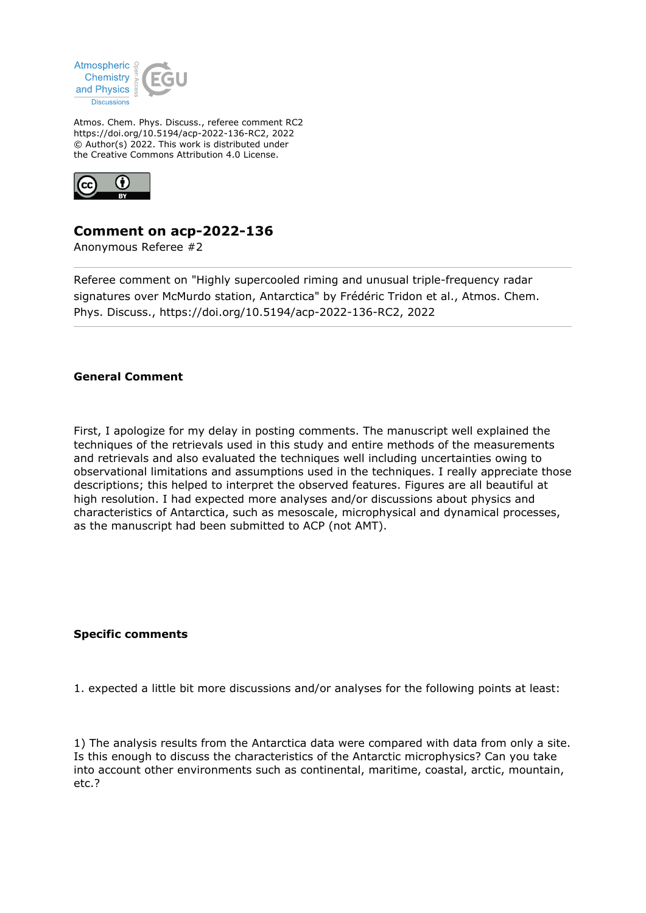

Atmos. Chem. Phys. Discuss., referee comment RC2 https://doi.org/10.5194/acp-2022-136-RC2, 2022 © Author(s) 2022. This work is distributed under the Creative Commons Attribution 4.0 License.



## **Comment on acp-2022-136**

Anonymous Referee #2

Referee comment on "Highly supercooled riming and unusual triple-frequency radar signatures over McMurdo station, Antarctica" by Frédéric Tridon et al., Atmos. Chem. Phys. Discuss., https://doi.org/10.5194/acp-2022-136-RC2, 2022

## **General Comment**

First, I apologize for my delay in posting comments. The manuscript well explained the techniques of the retrievals used in this study and entire methods of the measurements and retrievals and also evaluated the techniques well including uncertainties owing to observational limitations and assumptions used in the techniques. I really appreciate those descriptions; this helped to interpret the observed features. Figures are all beautiful at high resolution. I had expected more analyses and/or discussions about physics and characteristics of Antarctica, such as mesoscale, microphysical and dynamical processes, as the manuscript had been submitted to ACP (not AMT).

## **Specific comments**

1. expected a little bit more discussions and/or analyses for the following points at least:

1) The analysis results from the Antarctica data were compared with data from only a site. Is this enough to discuss the characteristics of the Antarctic microphysics? Can you take into account other environments such as continental, maritime, coastal, arctic, mountain, etc.?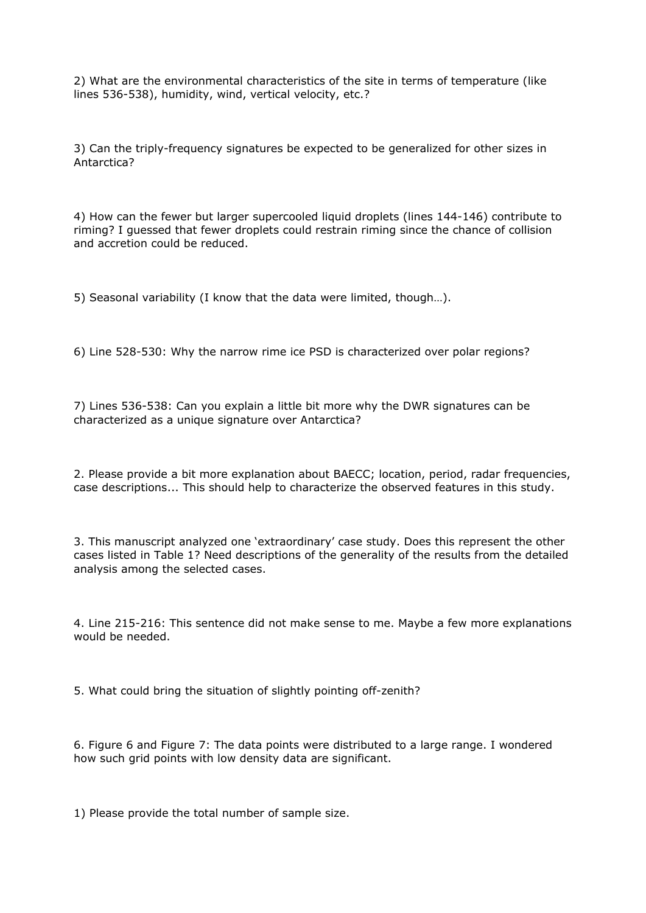2) What are the environmental characteristics of the site in terms of temperature (like lines 536-538), humidity, wind, vertical velocity, etc.?

3) Can the triply-frequency signatures be expected to be generalized for other sizes in Antarctica?

4) How can the fewer but larger supercooled liquid droplets (lines 144-146) contribute to riming? I guessed that fewer droplets could restrain riming since the chance of collision and accretion could be reduced.

5) Seasonal variability (I know that the data were limited, though…).

6) Line 528-530: Why the narrow rime ice PSD is characterized over polar regions?

7) Lines 536-538: Can you explain a little bit more why the DWR signatures can be characterized as a unique signature over Antarctica?

2. Please provide a bit more explanation about BAECC; location, period, radar frequencies, case descriptions... This should help to characterize the observed features in this study.

3. This manuscript analyzed one 'extraordinary' case study. Does this represent the other cases listed in Table 1? Need descriptions of the generality of the results from the detailed analysis among the selected cases.

4. Line 215-216: This sentence did not make sense to me. Maybe a few more explanations would be needed.

5. What could bring the situation of slightly pointing off-zenith?

6. Figure 6 and Figure 7: The data points were distributed to a large range. I wondered how such grid points with low density data are significant.

1) Please provide the total number of sample size.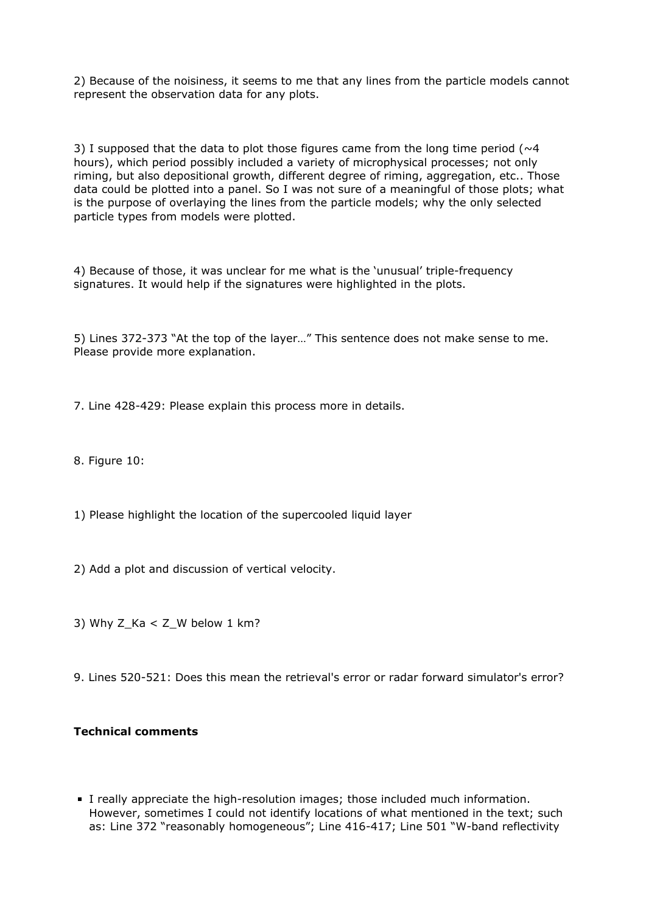2) Because of the noisiness, it seems to me that any lines from the particle models cannot represent the observation data for any plots.

3) I supposed that the data to plot those figures came from the long time period ( $\sim$ 4) hours), which period possibly included a variety of microphysical processes; not only riming, but also depositional growth, different degree of riming, aggregation, etc.. Those data could be plotted into a panel. So I was not sure of a meaningful of those plots; what is the purpose of overlaying the lines from the particle models; why the only selected particle types from models were plotted.

4) Because of those, it was unclear for me what is the 'unusual' triple-frequency signatures. It would help if the signatures were highlighted in the plots.

5) Lines 372-373 "At the top of the layer…" This sentence does not make sense to me. Please provide more explanation.

7. Line 428-429: Please explain this process more in details.

8. Figure 10:

- 1) Please highlight the location of the supercooled liquid layer
- 2) Add a plot and discussion of vertical velocity.
- 3) Why Z  $Ka < Z$  W below 1 km?
- 9. Lines 520-521: Does this mean the retrieval's error or radar forward simulator's error?

## **Technical comments**

I really appreciate the high-resolution images; those included much information. However, sometimes I could not identify locations of what mentioned in the text; such as: Line 372 "reasonably homogeneous"; Line 416-417; Line 501 "W-band reflectivity